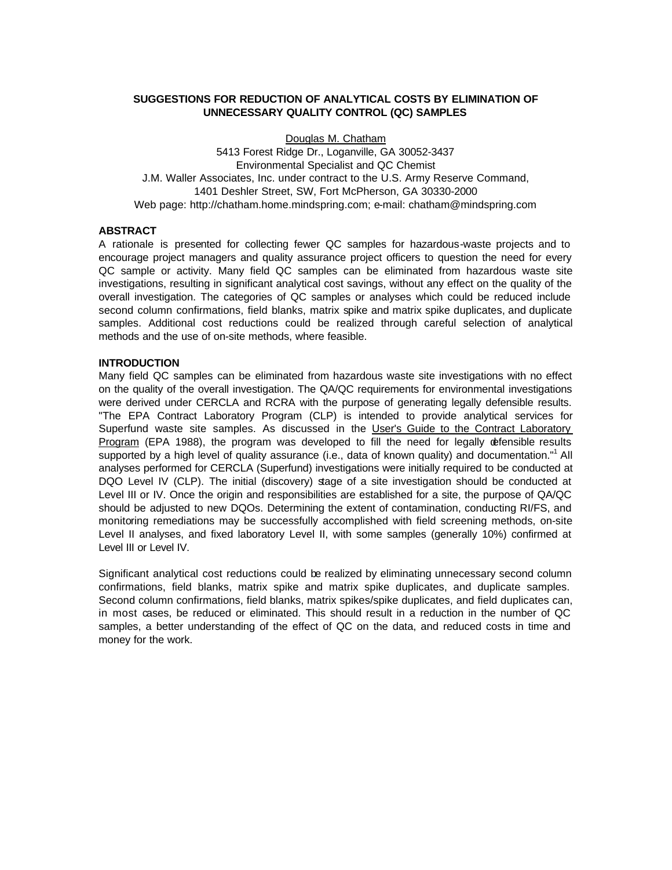## **SUGGESTIONS FOR REDUCTION OF ANALYTICAL COSTS BY ELIMINATION OF UNNECESSARY QUALITY CONTROL (QC) SAMPLES**

Douglas M. Chatham 5413 Forest Ridge Dr., Loganville, GA 30052-3437 Environmental Specialist and QC Chemist J.M. Waller Associates, Inc. under contract to the U.S. Army Reserve Command, 1401 Deshler Street, SW, Fort McPherson, GA 30330-2000 Web page: http://chatham.home.mindspring.com; e-mail: chatham@mindspring.com

## **ABSTRACT**

A rationale is presented for collecting fewer QC samples for hazardous-waste projects and to encourage project managers and quality assurance project officers to question the need for every QC sample or activity. Many field QC samples can be eliminated from hazardous waste site investigations, resulting in significant analytical cost savings, without any effect on the quality of the overall investigation. The categories of QC samples or analyses which could be reduced include second column confirmations, field blanks, matrix spike and matrix spike duplicates, and duplicate samples. Additional cost reductions could be realized through careful selection of analytical methods and the use of on-site methods, where feasible.

#### **INTRODUCTION**

Many field QC samples can be eliminated from hazardous waste site investigations with no effect on the quality of the overall investigation. The QA/QC requirements for environmental investigations were derived under CERCLA and RCRA with the purpose of generating legally defensible results. "The EPA Contract Laboratory Program (CLP) is intended to provide analytical services for Superfund waste site samples. As discussed in the User's Guide to the Contract Laboratory Program (EPA 1988), the program was developed to fill the need for legally defensible results supported by a high level of quality assurance (i.e., data of known quality) and documentation."<sup>1</sup> All analyses performed for CERCLA (Superfund) investigations were initially required to be conducted at DQO Level IV (CLP). The initial (discovery) stage of a site investigation should be conducted at Level III or IV. Once the origin and responsibilities are established for a site, the purpose of QA/QC should be adjusted to new DQOs. Determining the extent of contamination, conducting RI/FS, and monitoring remediations may be successfully accomplished with field screening methods, on-site Level II analyses, and fixed laboratory Level II, with some samples (generally 10%) confirmed at Level III or Level IV.

Significant analytical cost reductions could be realized by eliminating unnecessary second column confirmations, field blanks, matrix spike and matrix spike duplicates, and duplicate samples. Second column confirmations, field blanks, matrix spikes/spike duplicates, and field duplicates can, in most cases, be reduced or eliminated. This should result in a reduction in the number of QC samples, a better understanding of the effect of QC on the data, and reduced costs in time and money for the work.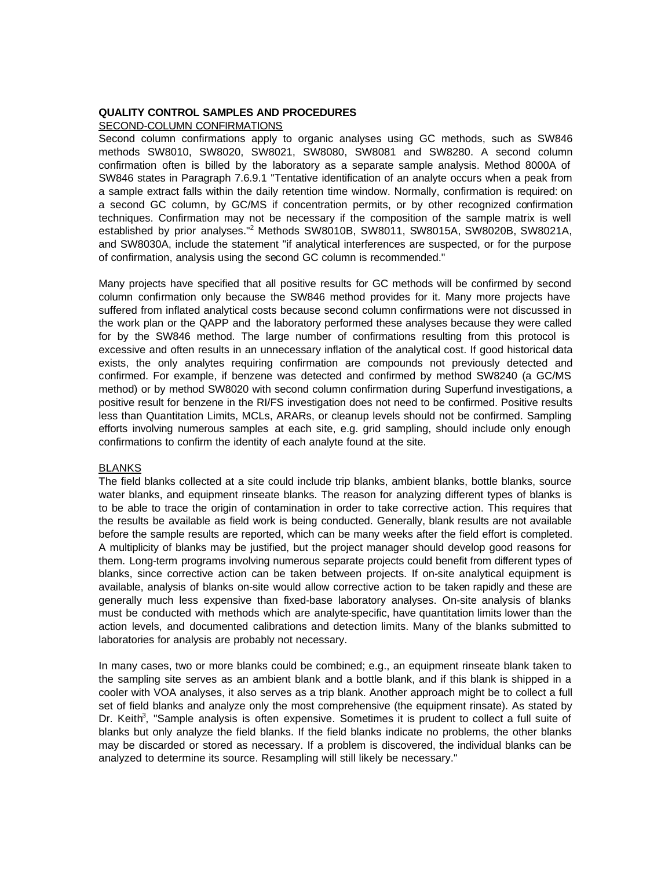### **QUALITY CONTROL SAMPLES AND PROCEDURES**

SECOND-COLUMN CONFIRMATIONS

Second column confirmations apply to organic analyses using GC methods, such as SW846 methods SW8010, SW8020, SW8021, SW8080, SW8081 and SW8280. A second column confirmation often is billed by the laboratory as a separate sample analysis. Method 8000A of SW846 states in Paragraph 7.6.9.1 "Tentative identification of an analyte occurs when a peak from a sample extract falls within the daily retention time window. Normally, confirmation is required: on a second GC column, by GC/MS if concentration permits, or by other recognized confirmation techniques. Confirmation may not be necessary if the composition of the sample matrix is well established by prior analyses."<sup>2</sup> Methods SW8010B, SW8011, SW8015A, SW8020B, SW8021A, and SW8030A, include the statement "if analytical interferences are suspected, or for the purpose of confirmation, analysis using the second GC column is recommended."

Many projects have specified that all positive results for GC methods will be confirmed by second column confirmation only because the SW846 method provides for it. Many more projects have suffered from inflated analytical costs because second column confirmations were not discussed in the work plan or the QAPP and the laboratory performed these analyses because they were called for by the SW846 method. The large number of confirmations resulting from this protocol is excessive and often results in an unnecessary inflation of the analytical cost. If good historical data exists, the only analytes requiring confirmation are compounds not previously detected and confirmed. For example, if benzene was detected and confirmed by method SW8240 (a GC/MS method) or by method SW8020 with second column confirmation during Superfund investigations, a positive result for benzene in the RI/FS investigation does not need to be confirmed. Positive results less than Quantitation Limits, MCLs, ARARs, or cleanup levels should not be confirmed. Sampling efforts involving numerous samples at each site, e.g. grid sampling, should include only enough confirmations to confirm the identity of each analyte found at the site.

#### BLANKS

The field blanks collected at a site could include trip blanks, ambient blanks, bottle blanks, source water blanks, and equipment rinseate blanks. The reason for analyzing different types of blanks is to be able to trace the origin of contamination in order to take corrective action. This requires that the results be available as field work is being conducted. Generally, blank results are not available before the sample results are reported, which can be many weeks after the field effort is completed. A multiplicity of blanks may be justified, but the project manager should develop good reasons for them. Long-term programs involving numerous separate projects could benefit from different types of blanks, since corrective action can be taken between projects. If on-site analytical equipment is available, analysis of blanks on-site would allow corrective action to be taken rapidly and these are generally much less expensive than fixed-base laboratory analyses. On-site analysis of blanks must be conducted with methods which are analyte-specific, have quantitation limits lower than the action levels, and documented calibrations and detection limits. Many of the blanks submitted to laboratories for analysis are probably not necessary.

In many cases, two or more blanks could be combined; e.g., an equipment rinseate blank taken to the sampling site serves as an ambient blank and a bottle blank, and if this blank is shipped in a cooler with VOA analyses, it also serves as a trip blank. Another approach might be to collect a full set of field blanks and analyze only the most comprehensive (the equipment rinsate). As stated by Dr. Keith<sup>3</sup>, "Sample analysis is often expensive. Sometimes it is prudent to collect a full suite of blanks but only analyze the field blanks. If the field blanks indicate no problems, the other blanks may be discarded or stored as necessary. If a problem is discovered, the individual blanks can be analyzed to determine its source. Resampling will still likely be necessary."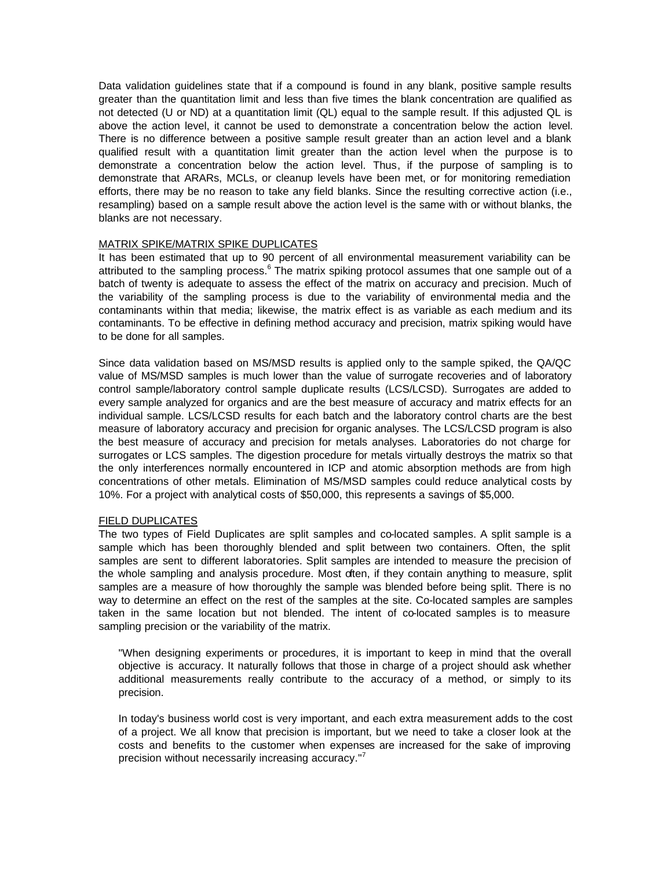Data validation guidelines state that if a compound is found in any blank, positive sample results greater than the quantitation limit and less than five times the blank concentration are qualified as not detected (U or ND) at a quantitation limit (QL) equal to the sample result. If this adjusted QL is above the action level, it cannot be used to demonstrate a concentration below the action level. There is no difference between a positive sample result greater than an action level and a blank qualified result with a quantitation limit greater than the action level when the purpose is to demonstrate a concentration below the action level. Thus, if the purpose of sampling is to demonstrate that ARARs, MCLs, or cleanup levels have been met, or for monitoring remediation efforts, there may be no reason to take any field blanks. Since the resulting corrective action (i.e., resampling) based on a sample result above the action level is the same with or without blanks, the blanks are not necessary.

## MATRIX SPIKE/MATRIX SPIKE DUPLICATES

It has been estimated that up to 90 percent of all environmental measurement variability can be attributed to the sampling process.<sup>6</sup> The matrix spiking protocol assumes that one sample out of a batch of twenty is adequate to assess the effect of the matrix on accuracy and precision. Much of the variability of the sampling process is due to the variability of environmental media and the contaminants within that media; likewise, the matrix effect is as variable as each medium and its contaminants. To be effective in defining method accuracy and precision, matrix spiking would have to be done for all samples.

Since data validation based on MS/MSD results is applied only to the sample spiked, the QA/QC value of MS/MSD samples is much lower than the value of surrogate recoveries and of laboratory control sample/laboratory control sample duplicate results (LCS/LCSD). Surrogates are added to every sample analyzed for organics and are the best measure of accuracy and matrix effects for an individual sample. LCS/LCSD results for each batch and the laboratory control charts are the best measure of laboratory accuracy and precision for organic analyses. The LCS/LCSD program is also the best measure of accuracy and precision for metals analyses. Laboratories do not charge for surrogates or LCS samples. The digestion procedure for metals virtually destroys the matrix so that the only interferences normally encountered in ICP and atomic absorption methods are from high concentrations of other metals. Elimination of MS/MSD samples could reduce analytical costs by 10%. For a project with analytical costs of \$50,000, this represents a savings of \$5,000.

## FIELD DUPLICATES

The two types of Field Duplicates are split samples and co-located samples. A split sample is a sample which has been thoroughly blended and split between two containers. Often, the split samples are sent to different laboratories. Split samples are intended to measure the precision of the whole sampling and analysis procedure. Most often, if they contain anything to measure, split samples are a measure of how thoroughly the sample was blended before being split. There is no way to determine an effect on the rest of the samples at the site. Co-located samples are samples taken in the same location but not blended. The intent of co-located samples is to measure sampling precision or the variability of the matrix.

"When designing experiments or procedures, it is important to keep in mind that the overall objective is accuracy. It naturally follows that those in charge of a project should ask whether additional measurements really contribute to the accuracy of a method, or simply to its precision.

In today's business world cost is very important, and each extra measurement adds to the cost of a project. We all know that precision is important, but we need to take a closer look at the costs and benefits to the customer when expenses are increased for the sake of improving precision without necessarily increasing accuracy."<sup>7</sup>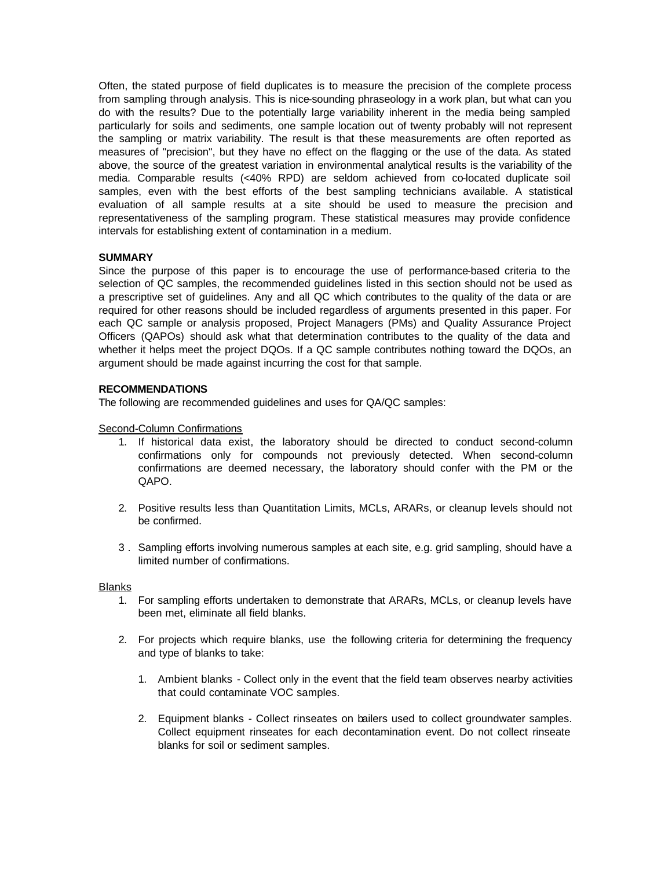Often, the stated purpose of field duplicates is to measure the precision of the complete process from sampling through analysis. This is nice-sounding phraseology in a work plan, but what can you do with the results? Due to the potentially large variability inherent in the media being sampled particularly for soils and sediments, one sample location out of twenty probably will not represent the sampling or matrix variability. The result is that these measurements are often reported as measures of "precision", but they have no effect on the flagging or the use of the data. As stated above, the source of the greatest variation in environmental analytical results is the variability of the media. Comparable results (<40% RPD) are seldom achieved from co-located duplicate soil samples, even with the best efforts of the best sampling technicians available. A statistical evaluation of all sample results at a site should be used to measure the precision and representativeness of the sampling program. These statistical measures may provide confidence intervals for establishing extent of contamination in a medium.

# **SUMMARY**

Since the purpose of this paper is to encourage the use of performance-based criteria to the selection of QC samples, the recommended guidelines listed in this section should not be used as a prescriptive set of guidelines. Any and all QC which contributes to the quality of the data or are required for other reasons should be included regardless of arguments presented in this paper. For each QC sample or analysis proposed, Project Managers (PMs) and Quality Assurance Project Officers (QAPOs) should ask what that determination contributes to the quality of the data and whether it helps meet the project DQOs. If a QC sample contributes nothing toward the DQOs, an argument should be made against incurring the cost for that sample.

# **RECOMMENDATIONS**

The following are recommended guidelines and uses for QA/QC samples:

# Second-Column Confirmations

- 1. If historical data exist, the laboratory should be directed to conduct second-column confirmations only for compounds not previously detected. When second-column confirmations are deemed necessary, the laboratory should confer with the PM or the QAPO.
- 2. Positive results less than Quantitation Limits, MCLs, ARARs, or cleanup levels should not be confirmed.
- 3 . Sampling efforts involving numerous samples at each site, e.g. grid sampling, should have a limited number of confirmations.

## **Blanks**

- 1. For sampling efforts undertaken to demonstrate that ARARs, MCLs, or cleanup levels have been met, eliminate all field blanks.
- 2. For projects which require blanks, use the following criteria for determining the frequency and type of blanks to take:
	- 1. Ambient blanks Collect only in the event that the field team observes nearby activities that could contaminate VOC samples.
	- 2. Equipment blanks Collect rinseates on bailers used to collect groundwater samples. Collect equipment rinseates for each decontamination event. Do not collect rinseate blanks for soil or sediment samples.